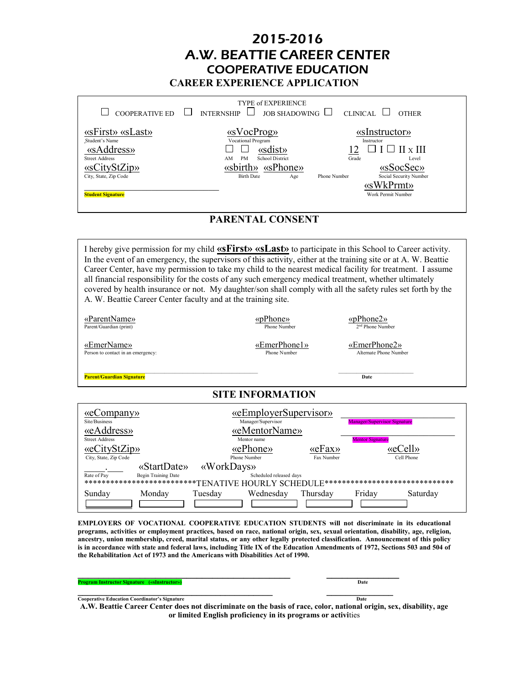### 2015-2016 A.W. BEATTIE CAREER CENTER COOPERATIVE EDUCATION **CAREER EXPERIENCE APPLICATION**

| <b>COOPERATIVE ED</b>                                                                                                                          | <b>TYPE of EXPERIENCE</b><br><b>IOR SHADOWING</b><br><b>INTERNSHIP</b>                                                                    | CLINICAL<br><b>OTHER</b>                                                                                                                                   |
|------------------------------------------------------------------------------------------------------------------------------------------------|-------------------------------------------------------------------------------------------------------------------------------------------|------------------------------------------------------------------------------------------------------------------------------------------------------------|
| «sFirst» «sLast»<br>Student's Name<br>«sAddress»<br><b>Street Address</b><br>«sCityStZip»<br>City, State, Zip Code<br><b>Student Signature</b> | «sVocProg»<br>Vocational Program<br>«sdist»<br><b>School District</b><br><b>PM</b><br>AM<br>«sbirth» «sPhone»<br><b>Birth Date</b><br>Age | «sInstructor»<br>Instructor<br>$II \times III$<br>Grade<br>Level<br>«sSocSec»<br>Social Security Number<br>Phone Number<br>«sWkPrmt»<br>Work Permit Number |

#### **PARENTAL CONSENT**

I hereby give permission for my child **«sFirst» «sLast»** to participate in this School to Career activity. In the event of an emergency, the supervisors of this activity, either at the training site or at A. W. Beattie Career Center, have my permission to take my child to the nearest medical facility for treatment. I assume all financial responsibility for the costs of any such emergency medical treatment, whether ultimately covered by health insurance or not. My daughter/son shall comply with all the safety rules set forth by the A. W. Beattie Career Center faculty and at the training site.

| «ParentName»<br>Parent/Guardian (print)           | «pPhone»<br>Phone Number     |                               | $\langle \text{pPhone2}\rangle$<br>2 <sup>nd</sup> Phone Number |            |
|---------------------------------------------------|------------------------------|-------------------------------|-----------------------------------------------------------------|------------|
| «EmerName»<br>Person to contact in an emergency:  | «EmerPhone1»<br>Phone Number |                               | «EmerPhone2»<br>Alternate Phone Number                          |            |
| <b>Parent/Guardian Signature</b>                  |                              |                               | Date                                                            |            |
|                                                   | <b>SITE INFORMATION</b>      |                               |                                                                 |            |
| $\langle\langle$ eCompany $\rangle\rangle$        | «eEmployerSupervisor»        |                               |                                                                 |            |
| Site/Business                                     | Manager/Supervisor           |                               | <b>Manager/Supervisor Signature</b>                             |            |
| «eAddress»<br><b>Street Address</b>               | «eMentorName»<br>Mentor name |                               | <b>Mentor Signature</b>                                         |            |
| «eCityStZip»                                      | «ePhone»                     | $\langle \langle eFx \rangle$ | «eCell»                                                         |            |
| City, State, Zip Code                             | Phone Number                 | Fax Number                    |                                                                 | Cell Phone |
| «StartDate»                                       | «WorkDays»                   |                               |                                                                 |            |
| Rate of Pay<br>Begin Training Date                | Scheduled released days      |                               |                                                                 |            |
| ***************************TENATIVE HOURLY SCHEDU |                              |                               | ******************************                                  |            |
| Sunday<br>Monday                                  | Tuesday<br>Wednesday         | Thursday                      | Friday                                                          | Saturday   |
|                                                   |                              |                               |                                                                 |            |

**EMPLOYERS OF VOCATIONAL COOPERATIVE EDUCATION STUDENTS will not discriminate in its educational programs, activities or employment practices, based on race, national origin, sex, sexual orientation, disability, age, religion, ancestry, union membership, creed, marital status, or any other legally protected classification. Announcement of this policy is in accordance with state and federal laws, including Title IX of the Education Amendments of 1972, Sections 503 and 504 of the Rehabilitation Act of 1973 and the Americans with Disabilities Act of 1990.**

|--|

**Cooperative Education Coordinator's Signature Date A.W. Beattie Career Center does not discriminate on the basis of race, color, national origin, sex, disability, age or limited English proficiency in its programs or activi**ties

**\_\_\_\_\_\_\_\_\_\_\_\_\_\_\_\_\_\_\_\_\_\_\_\_\_\_\_\_\_\_\_\_\_\_\_\_\_\_\_\_\_ \_\_\_\_\_\_\_\_\_\_\_\_\_\_**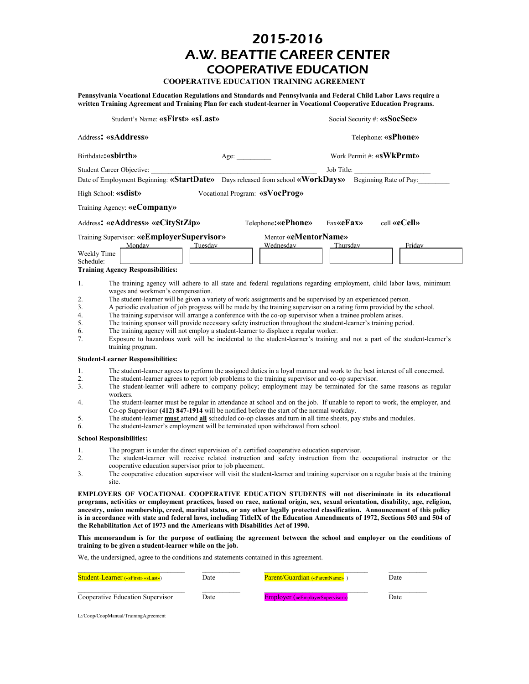### 2015-2016 A.W. BEATTIE CAREER CENTER COOPERATIVE EDUCATION

**COOPERATIVE EDUCATION TRAINING AGREEMENT**

**Pennsylvania Vocational Education Regulations and Standards and Pennsylvania and Federal Child Labor Laws require a written Training Agreement and Training Plan for each student-learner in Vocational Cooperative Education Programs.**

| Student's Name: «sFirst» «sLast»       |                                                                                                  |                                                          | Social Security #: «sSocSec»                                                                                                                                                                                                                                                                                                                                                                                                                                                                                                                                                                                                                                                                                                                                                                                      |                                 |
|----------------------------------------|--------------------------------------------------------------------------------------------------|----------------------------------------------------------|-------------------------------------------------------------------------------------------------------------------------------------------------------------------------------------------------------------------------------------------------------------------------------------------------------------------------------------------------------------------------------------------------------------------------------------------------------------------------------------------------------------------------------------------------------------------------------------------------------------------------------------------------------------------------------------------------------------------------------------------------------------------------------------------------------------------|---------------------------------|
|                                        | Address: «sAddress»                                                                              |                                                          |                                                                                                                                                                                                                                                                                                                                                                                                                                                                                                                                                                                                                                                                                                                                                                                                                   | Telephone: «sPhone»             |
|                                        | Birthdate: «sbirth»                                                                              | Age:                                                     |                                                                                                                                                                                                                                                                                                                                                                                                                                                                                                                                                                                                                                                                                                                                                                                                                   | Work Permit #: <b>«sWkPrmt»</b> |
|                                        | Student Career Objective:                                                                        |                                                          | Job Title:                                                                                                                                                                                                                                                                                                                                                                                                                                                                                                                                                                                                                                                                                                                                                                                                        |                                 |
|                                        |                                                                                                  |                                                          | Date of Employment Beginning: «StartDate» Days released from school «WorkDays»                                                                                                                                                                                                                                                                                                                                                                                                                                                                                                                                                                                                                                                                                                                                    | Beginning Rate of Pay:          |
|                                        | High School: <b>«sdist»</b>                                                                      | Vocational Program: «sVocProg»                           |                                                                                                                                                                                                                                                                                                                                                                                                                                                                                                                                                                                                                                                                                                                                                                                                                   |                                 |
|                                        | Training Agency: «eCompany»                                                                      |                                                          |                                                                                                                                                                                                                                                                                                                                                                                                                                                                                                                                                                                                                                                                                                                                                                                                                   |                                 |
|                                        | Address: «eAddress» «eCityStZip»                                                                 |                                                          | Telephone: «ePhone»<br><b>Fax«eFax»</b>                                                                                                                                                                                                                                                                                                                                                                                                                                                                                                                                                                                                                                                                                                                                                                           | cell «eCell»                    |
| Weekly Time<br>Schedule:               | Training Supervisor: «eEmployerSupervisor»<br>Monday<br><b>Training Agency Responsibilities:</b> | Tuesday                                                  | Mentor «eMentorName»<br>Wednesday<br>Thursday                                                                                                                                                                                                                                                                                                                                                                                                                                                                                                                                                                                                                                                                                                                                                                     | Friday                          |
| 1.<br>2.<br>3.<br>4.<br>5.<br>6.<br>7. | wages and workmen's compensation.<br>training program.                                           |                                                          | The training agency will adhere to all state and federal regulations regarding employment, child labor laws, minimum<br>The student-learner will be given a variety of work assignments and be supervised by an experienced person.<br>A periodic evaluation of job progress will be made by the training supervisor on a rating form provided by the school.<br>The training supervisor will arrange a conference with the co-op supervisor when a trainee problem arises.<br>The training sponsor will provide necessary safety instruction throughout the student-learner's training period.<br>The training agency will not employ a student-learner to displace a regular worker.<br>Exposure to hazardous work will be incidental to the student-learner's training and not a part of the student-learner's |                                 |
|                                        | <b>Student-Learner Responsibilities:</b>                                                         |                                                          |                                                                                                                                                                                                                                                                                                                                                                                                                                                                                                                                                                                                                                                                                                                                                                                                                   |                                 |
| 1.<br>2.<br>3.<br>4.<br>5.<br>6.       | workers.                                                                                         |                                                          | The student-learner agrees to perform the assigned duties in a loyal manner and work to the best interest of all concerned.<br>The student-learner agrees to report job problems to the training supervisor and co-op supervisor.<br>The student-learner will adhere to company policy; employment may be terminated for the same reasons as regular<br>The student-learner must be regular in attendance at school and on the job. If unable to report to work, the employer, and<br>Co-op Supervisor (412) 847-1914 will be notified before the start of the normal workday.<br>The student-learner must attend all scheduled co-op classes and turn in all time sheets, pay stubs and modules.<br>The student-learner's employment will be terminated upon withdrawal from school.                             |                                 |
|                                        | <b>School Responsibilities:</b>                                                                  |                                                          |                                                                                                                                                                                                                                                                                                                                                                                                                                                                                                                                                                                                                                                                                                                                                                                                                   |                                 |
| 1.<br>2.<br>3.                         | site.                                                                                            | cooperative education supervisor prior to job placement. | The program is under the direct supervision of a certified cooperative education supervisor.<br>The student-learner will receive related instruction and safety instruction from the occupational instructor or the<br>The cooperative education supervisor will visit the student-learner and training supervisor on a regular basis at the training                                                                                                                                                                                                                                                                                                                                                                                                                                                             |                                 |

**EMPLOYERS OF VOCATIONAL COOPERATIVE EDUCATION STUDENTS will not discriminate in its educational programs, activities or employment practices, based on race, national origin, sex, sexual orientation, disability, age, religion, ancestry, union membership, creed, marital status, or any other legally protected classification. Announcement of this policy is in accordance with state and federal laws, including TitleIX of the Education Amendments of 1972, Sections 503 and 504 of the Rehabilitation Act of 1973 and the Americans with Disabilities Act of 1990.**

**This memorandum is for the purpose of outlining the agreement between the school and employer on the conditions of training to be given a student-learner while on the job.**

We, the undersigned, agree to the conditions and statements contained in this agreement.

| <b>Student-Learner</b> («sFirst» «sLast») | Date | <b>Parent/Guardian</b> («ParentName»)   | Date |
|-------------------------------------------|------|-----------------------------------------|------|
| Cooperative Education Supervisor          | Date | <b>Employer</b> («eEmployerSupervisor») | Date |

L:/Coop/CoopManual/TrainingAgreement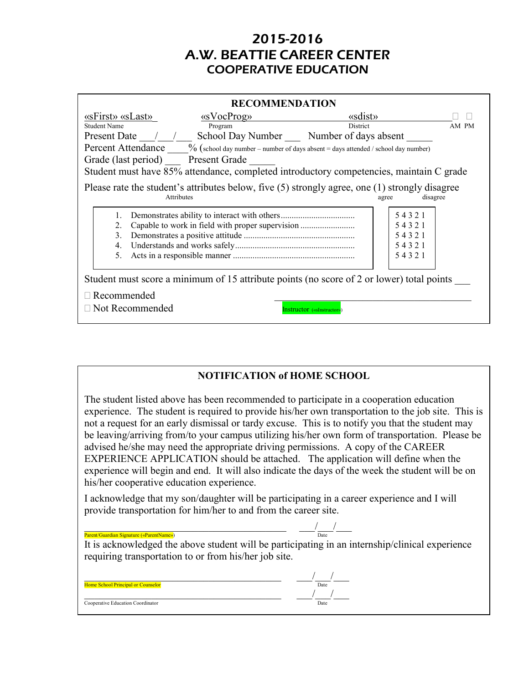# 2015-2016 A.W. BEATTIE CAREER CENTER COOPERATIVE EDUCATION

| <b>RECOMMENDATION</b>                                                                                                                                                        |                                                                                                                                                                                                                                                                                                                                                                                                                                                         |          |          |       |
|------------------------------------------------------------------------------------------------------------------------------------------------------------------------------|---------------------------------------------------------------------------------------------------------------------------------------------------------------------------------------------------------------------------------------------------------------------------------------------------------------------------------------------------------------------------------------------------------------------------------------------------------|----------|----------|-------|
| «sFirst» «sLast»                                                                                                                                                             | $\langle$ $\langle$ $\langle$ $\langle$ $\rangle$ $\langle$ $\rangle$ $\langle$ $\rangle$ $\langle$ $\rangle$ $\langle$ $\rangle$ $\langle$ $\rangle$ $\langle$ $\rangle$ $\langle$ $\rangle$ $\langle$ $\rangle$ $\langle$ $\rangle$ $\langle$ $\rangle$ $\langle$ $\rangle$ $\langle$ $\rangle$ $\langle$ $\rangle$ $\langle$ $\rangle$ $\langle$ $\rangle$ $\langle$ $\rangle$ $\langle$ $\rangle$ $\langle$ $\rangle$ $\langle$ $\rangle$ $\langle$ | «sdist»  |          |       |
| <b>Student Name</b>                                                                                                                                                          | Program                                                                                                                                                                                                                                                                                                                                                                                                                                                 | District |          | AM PM |
| Present Date / / School Day Number Number of days absent                                                                                                                     |                                                                                                                                                                                                                                                                                                                                                                                                                                                         |          |          |       |
| <b>Percent Attendance</b> $\%$ (school day number – number of days absent = days attended / school day number)                                                               |                                                                                                                                                                                                                                                                                                                                                                                                                                                         |          |          |       |
| Grade (last period) Present Grade                                                                                                                                            |                                                                                                                                                                                                                                                                                                                                                                                                                                                         |          |          |       |
| Student must have 85% attendance, completed introductory competencies, maintain C grade                                                                                      |                                                                                                                                                                                                                                                                                                                                                                                                                                                         |          |          |       |
| Please rate the student's attributes below, five (5) strongly agree, one (1) strongly disagree<br>Attributes                                                                 |                                                                                                                                                                                                                                                                                                                                                                                                                                                         | agree    | disagree |       |
|                                                                                                                                                                              |                                                                                                                                                                                                                                                                                                                                                                                                                                                         |          | 54321    |       |
| 2.                                                                                                                                                                           | Capable to work in field with proper supervision                                                                                                                                                                                                                                                                                                                                                                                                        |          | 54321    |       |
| 3.                                                                                                                                                                           |                                                                                                                                                                                                                                                                                                                                                                                                                                                         |          | 54321    |       |
| 4.                                                                                                                                                                           |                                                                                                                                                                                                                                                                                                                                                                                                                                                         |          | 54321    |       |
| 5.                                                                                                                                                                           |                                                                                                                                                                                                                                                                                                                                                                                                                                                         |          | 54321    |       |
| Student must score a minimum of 15 attribute points (no score of 2 or lower) total points<br>$\Box$ Recommended<br>$\Box$ Not Recommended<br><b>nstructor</b> («sInstructor» |                                                                                                                                                                                                                                                                                                                                                                                                                                                         |          |          |       |

### **NOTIFICATION of HOME SCHOOL**

The student listed above has been recommended to participate in a cooperation education experience. The student is required to provide his/her own transportation to the job site. This is not a request for an early dismissal or tardy excuse. This is to notify you that the student may be leaving/arriving from/to your campus utilizing his/her own form of transportation. Please be advised he/she may need the appropriate driving permissions. A copy of the CAREER EXPERIENCE APPLICATION should be attached. The application will define when the experience will begin and end. It will also indicate the days of the week the student will be on his/her cooperative education experience.

I acknowledge that my son/daughter will be participating in a career experience and I will provide transportation for him/her to and from the career site.

| Parent/Guardian Signature («ParentName»)                                                        | Date |
|-------------------------------------------------------------------------------------------------|------|
| It is acknowledged the above student will be participating in an internship/clinical experience |      |
| requiring transportation to or from his/her job site.                                           |      |
|                                                                                                 |      |
|                                                                                                 |      |
| Home School Principal or Counselor                                                              | Date |
|                                                                                                 |      |
| Cooperative Education Coordinator                                                               | Date |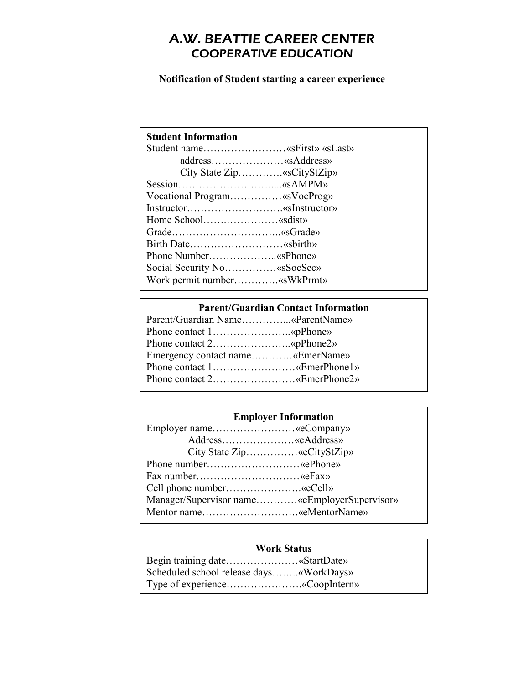# A.W. BEATTIE CAREER CENTER COOPERATIVE EDUCATION

**Notification of Student starting a career experience**

|                    | Student name«sFirst» «sLast» |
|--------------------|------------------------------|
|                    | address«sAddress»            |
|                    | City State Zip«sCityStZip»   |
|                    | Session«sAMPM»               |
|                    | Vocational Program«sVocProg» |
|                    | Instructor«sInstructor»      |
| Home School«sdist» |                              |
|                    | Grade«sGrade»                |
|                    | Birth Date«sbirth»           |
|                    | Phone Number«sPhone»         |
|                    | Social Security No«sSocSec»  |
|                    | Work permit number«sWkPrmt»  |
|                    |                              |

|                                  | <b>Parent/Guardian Contact Information</b> |
|----------------------------------|--------------------------------------------|
| Parent/Guardian Name«ParentName» |                                            |
|                                  |                                            |
|                                  |                                            |
| Emergency contact name«EmerName» |                                            |
| Phone contact 1«EmerPhone1»      |                                            |
| Phone contact 2«EmerPhone2»      |                                            |

| <b>Employer Information</b>                  |  |  |
|----------------------------------------------|--|--|
| Employer name«eCompany»                      |  |  |
| Address«eAddress»                            |  |  |
| City State Zip«eCityStZip»                   |  |  |
| Phone number«ePhone»                         |  |  |
|                                              |  |  |
| Cell phone number«eCell»                     |  |  |
| Manager/Supervisor name«eEmployerSupervisor» |  |  |
| Mentor name«eMentorName»                     |  |  |

### **Work Status**

Begin training date…………………«StartDate» Scheduled school release days……..«WorkDays» Type of experience………………….«CoopIntern»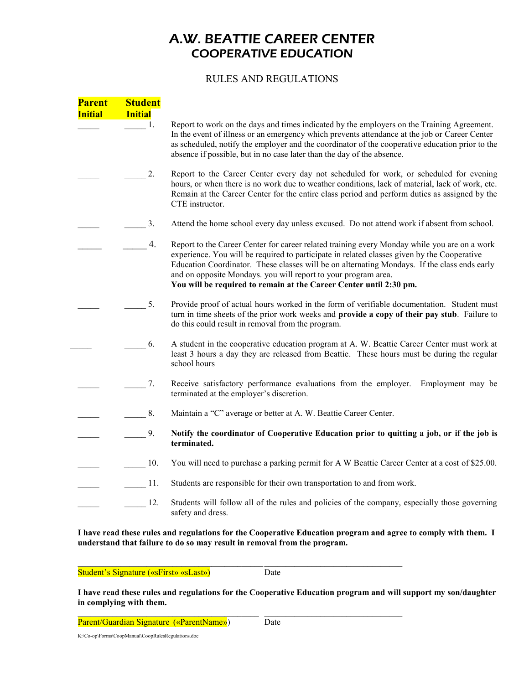# A.W. BEATTIE CAREER CENTER COOPERATIVE EDUCATION

### RULES AND REGULATIONS

| <b>Parent</b><br><b>Initial</b> | <b>Student</b><br><b>Initial</b> |                                                                                                                                                                                                                                                                                                                                                                                                                                     |
|---------------------------------|----------------------------------|-------------------------------------------------------------------------------------------------------------------------------------------------------------------------------------------------------------------------------------------------------------------------------------------------------------------------------------------------------------------------------------------------------------------------------------|
|                                 | $\frac{1}{2}$ 1.                 | Report to work on the days and times indicated by the employers on the Training Agreement.<br>In the event of illness or an emergency which prevents attendance at the job or Career Center<br>as scheduled, notify the employer and the coordinator of the cooperative education prior to the<br>absence if possible, but in no case later than the day of the absence.                                                            |
|                                 | 2.                               | Report to the Career Center every day not scheduled for work, or scheduled for evening<br>hours, or when there is no work due to weather conditions, lack of material, lack of work, etc.<br>Remain at the Career Center for the entire class period and perform duties as assigned by the<br>CTE instructor.                                                                                                                       |
|                                 | 3.                               | Attend the home school every day unless excused. Do not attend work if absent from school.                                                                                                                                                                                                                                                                                                                                          |
|                                 | 4.                               | Report to the Career Center for career related training every Monday while you are on a work<br>experience. You will be required to participate in related classes given by the Cooperative<br>Education Coordinator. These classes will be on alternating Mondays. If the class ends early<br>and on opposite Mondays. you will report to your program area.<br>You will be required to remain at the Career Center until 2:30 pm. |
|                                 | 5.                               | Provide proof of actual hours worked in the form of verifiable documentation. Student must<br>turn in time sheets of the prior work weeks and provide a copy of their pay stub. Failure to<br>do this could result in removal from the program.                                                                                                                                                                                     |
|                                 | 6.                               | A student in the cooperative education program at A. W. Beattie Career Center must work at<br>least 3 hours a day they are released from Beattie. These hours must be during the regular<br>school hours                                                                                                                                                                                                                            |
|                                 | 7.                               | Receive satisfactory performance evaluations from the employer. Employment may be<br>terminated at the employer's discretion.                                                                                                                                                                                                                                                                                                       |
|                                 | 8.                               | Maintain a "C" average or better at A. W. Beattie Career Center.                                                                                                                                                                                                                                                                                                                                                                    |
|                                 | 9.                               | Notify the coordinator of Cooperative Education prior to quitting a job, or if the job is<br>terminated.                                                                                                                                                                                                                                                                                                                            |
|                                 | 10.                              | You will need to purchase a parking permit for A W Beattie Career Center at a cost of \$25.00.                                                                                                                                                                                                                                                                                                                                      |
|                                 | 11.                              | Students are responsible for their own transportation to and from work.                                                                                                                                                                                                                                                                                                                                                             |
|                                 | 12.                              | Students will follow all of the rules and policies of the company, especially those governing<br>safety and dress.                                                                                                                                                                                                                                                                                                                  |

**I have read these rules and regulations for the Cooperative Education program and agree to comply with them. I understand that failure to do so may result in removal from the program.**

Student's Signature («sFirst» «sLast») Date

**I have read these rules and regulations for the Cooperative Education program and will support my son/daughter in complying with them.**

 $\mathcal{L}_\text{max}$